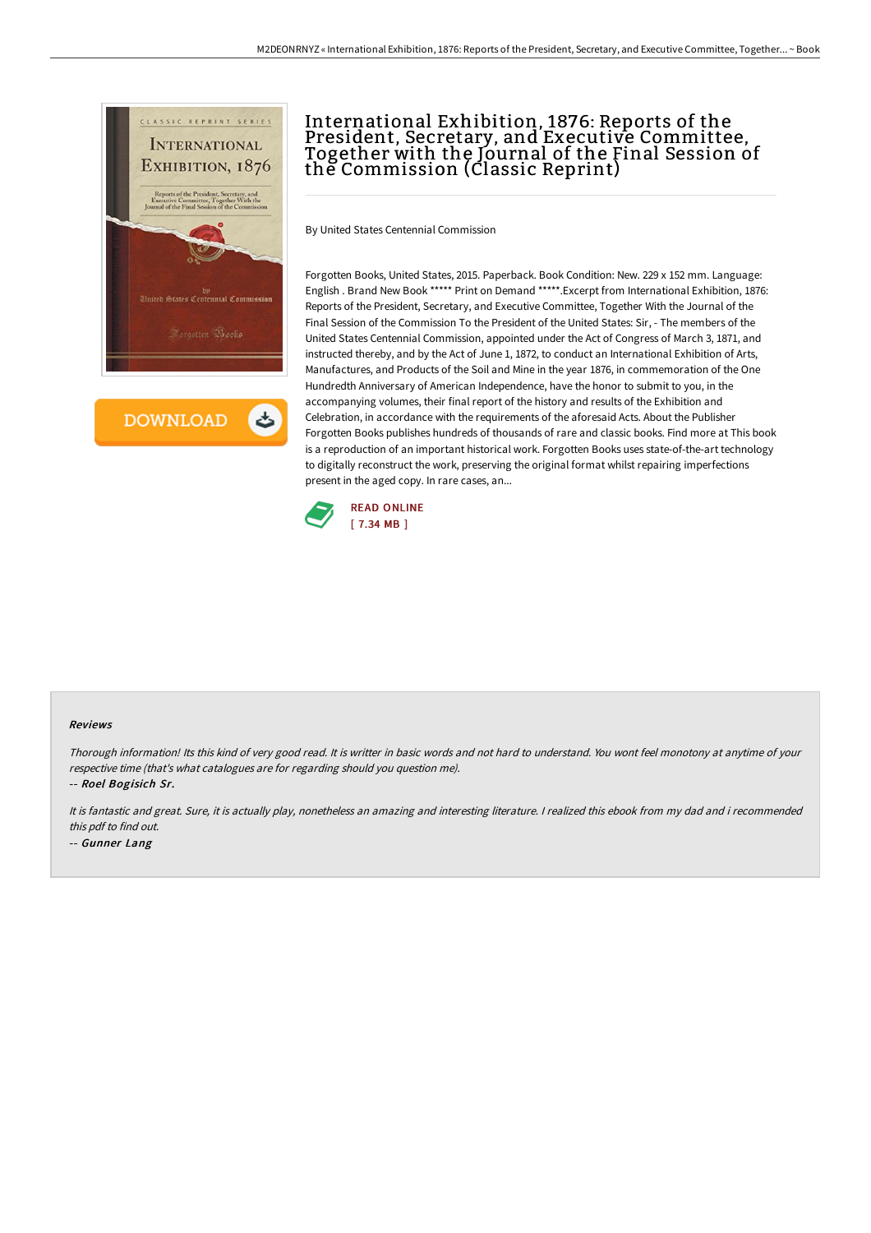

 $\rightarrow$ **DOWNLOAD** 

# International Exhibition, 1876: Reports of the President, Secretary, and Executive Committee, Together with the Journal of the Final Session of the Commission (Classic Reprint)

By United States Centennial Commission

Forgotten Books, United States, 2015. Paperback. Book Condition: New. 229 x 152 mm. Language: English . Brand New Book \*\*\*\*\* Print on Demand \*\*\*\*\*.Excerpt from International Exhibition, 1876: Reports of the President, Secretary, and Executive Committee, Together With the Journal of the Final Session of the Commission To the President of the United States: Sir, - The members of the United States Centennial Commission, appointed under the Act of Congress of March 3, 1871, and instructed thereby, and by the Act of June 1, 1872, to conduct an International Exhibition of Arts, Manufactures, and Products of the Soil and Mine in the year 1876, in commemoration of the One Hundredth Anniversary of American Independence, have the honor to submit to you, in the accompanying volumes, their final report of the history and results of the Exhibition and Celebration, in accordance with the requirements of the aforesaid Acts. About the Publisher Forgotten Books publishes hundreds of thousands of rare and classic books. Find more at This book is a reproduction of an important historical work. Forgotten Books uses state-of-the-art technology to digitally reconstruct the work, preserving the original format whilst repairing imperfections present in the aged copy. In rare cases, an...



#### Reviews

Thorough information! Its this kind of very good read. It is writter in basic words and not hard to understand. You wont feel monotony at anytime of your respective time (that's what catalogues are for regarding should you question me).

-- Roel Bogisich Sr.

It is fantastic and great. Sure, it is actually play, nonetheless an amazing and interesting literature. <sup>I</sup> realized this ebook from my dad and i recommended this pdf to find out. -- Gunner Lang